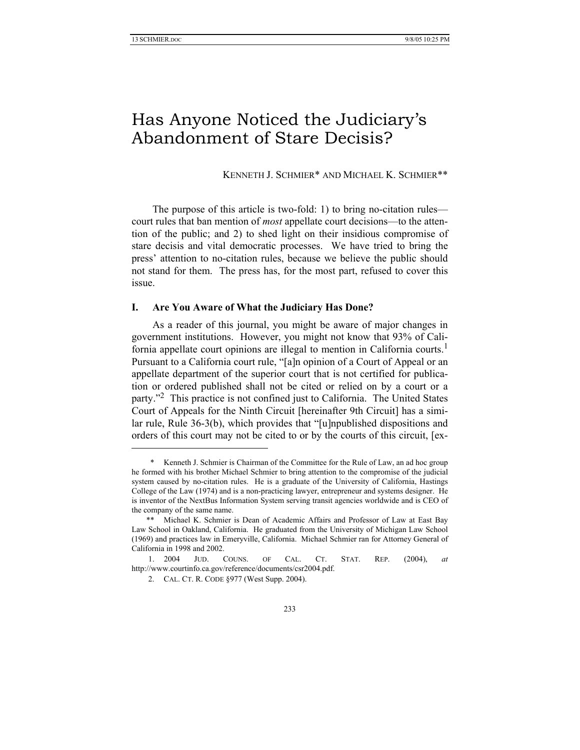# Has Anyone Noticed the Judiciary's Abandonment of Stare Decisis?

KENNETH J. SCHMIER\* AND MICHAEL K. SCHMIER\*\*

The purpose of this article is two-fold: 1) to bring no-citation rules court rules that ban mention of *most* appellate court decisions—to the attention of the public; and 2) to shed light on their insidious compromise of stare decisis and vital democratic processes. We have tried to bring the press' attention to no-citation rules, because we believe the public should not stand for them. The press has, for the most part, refused to cover this issue.

# **I. Are You Aware of What the Judiciary Has Done?**

As a reader of this journal, you might be aware of major changes in government institutions. However, you might not know that 93% of California appellate court opinions are illegal to mention in California courts.<sup>1</sup> Pursuant to a California court rule, "[a]n opinion of a Court of Appeal or an appellate department of the superior court that is not certified for publication or ordered published shall not be cited or relied on by a court or a party."<sup>2</sup> This practice is not confined just to California. The United States Court of Appeals for the Ninth Circuit [hereinafter 9th Circuit] has a similar rule, Rule 36-3(b), which provides that "[u]npublished dispositions and orders of this court may not be cited to or by the courts of this circuit, [ex-

 <sup>\*</sup> Kenneth J. Schmier is Chairman of the Committee for the Rule of Law, an ad hoc group he formed with his brother Michael Schmier to bring attention to the compromise of the judicial system caused by no-citation rules. He is a graduate of the University of California, Hastings College of the Law (1974) and is a non-practicing lawyer, entrepreneur and systems designer. He is inventor of the NextBus Information System serving transit agencies worldwide and is CEO of the company of the same name.

 <sup>\*\*</sup> Michael K. Schmier is Dean of Academic Affairs and Professor of Law at East Bay Law School in Oakland, California. He graduated from the University of Michigan Law School (1969) and practices law in Emeryville, California. Michael Schmier ran for Attorney General of California in 1998 and 2002.

 <sup>1. 2004</sup> JUD. COUNS. OF CAL. CT. STAT. REP. (2004), *at* http://www.courtinfo.ca.gov/reference/documents/csr2004.pdf.

 <sup>2.</sup> CAL. CT. R. CODE §977 (West Supp. 2004).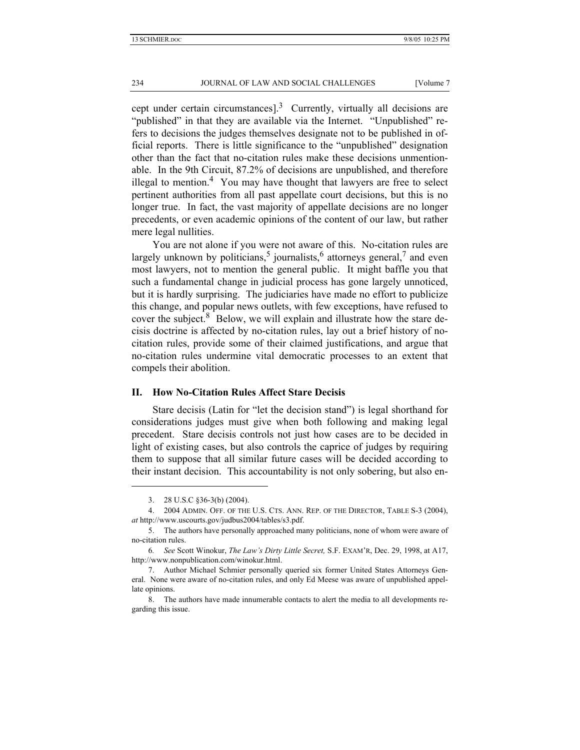cept under certain circumstances].<sup>3</sup> Currently, virtually all decisions are "published" in that they are available via the Internet. "Unpublished" refers to decisions the judges themselves designate not to be published in official reports. There is little significance to the "unpublished" designation other than the fact that no-citation rules make these decisions unmentionable. In the 9th Circuit, 87.2% of decisions are unpublished, and therefore illegal to mention.<sup>4</sup> You may have thought that lawyers are free to select pertinent authorities from all past appellate court decisions, but this is no longer true. In fact, the vast majority of appellate decisions are no longer precedents, or even academic opinions of the content of our law, but rather mere legal nullities.

You are not alone if you were not aware of this. No-citation rules are largely unknown by politicians,<sup>5</sup> journalists,<sup>6</sup> attorneys general,<sup>7</sup> and even most lawyers, not to mention the general public. It might baffle you that such a fundamental change in judicial process has gone largely unnoticed, but it is hardly surprising. The judiciaries have made no effort to publicize this change, and popular news outlets, with few exceptions, have refused to cover the subject. $8$  Below, we will explain and illustrate how the stare decisis doctrine is affected by no-citation rules, lay out a brief history of nocitation rules, provide some of their claimed justifications, and argue that no-citation rules undermine vital democratic processes to an extent that compels their abolition.

### **II. How No-Citation Rules Affect Stare Decisis**

Stare decisis (Latin for "let the decision stand") is legal shorthand for considerations judges must give when both following and making legal precedent. Stare decisis controls not just how cases are to be decided in light of existing cases, but also controls the caprice of judges by requiring them to suppose that all similar future cases will be decided according to their instant decision. This accountability is not only sobering, but also en-

 <sup>3. 28</sup> U.S.C §36-3(b) (2004).

 <sup>4. 2004</sup> ADMIN. OFF. OF THE U.S. CTS. ANN. REP. OF THE DIRECTOR, TABLE S-3 (2004), *at* http://www.uscourts.gov/judbus2004/tables/s3.pdf.

 <sup>5.</sup> The authors have personally approached many politicians, none of whom were aware of no-citation rules.

<sup>6</sup>*. See* Scott Winokur, *The Law's Dirty Little Secret,* S.F. EXAM'R, Dec. 29, 1998, at A17, http://www.nonpublication.com/winokur.html.

 <sup>7.</sup> Author Michael Schmier personally queried six former United States Attorneys General. None were aware of no-citation rules, and only Ed Meese was aware of unpublished appellate opinions.

 <sup>8.</sup> The authors have made innumerable contacts to alert the media to all developments regarding this issue.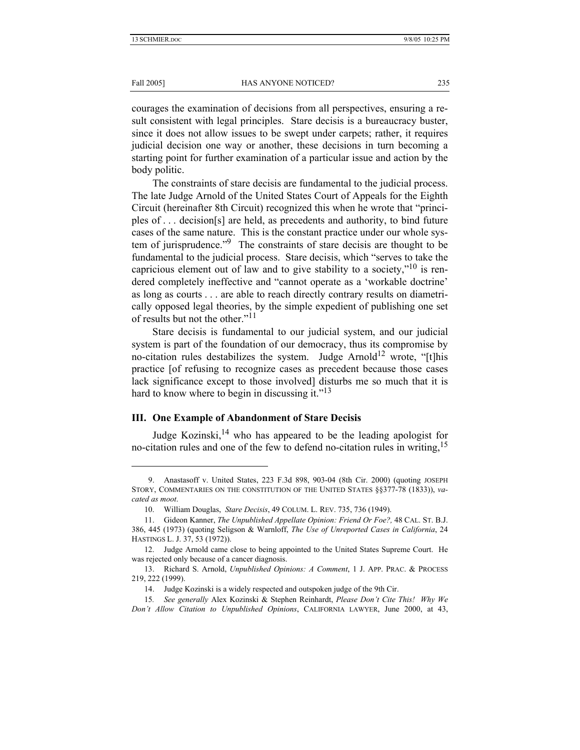Fall 2005] **HAS ANYONE NOTICED?** 235

courages the examination of decisions from all perspectives, ensuring a result consistent with legal principles. Stare decisis is a bureaucracy buster, since it does not allow issues to be swept under carpets; rather, it requires judicial decision one way or another, these decisions in turn becoming a starting point for further examination of a particular issue and action by the body politic.

The constraints of stare decisis are fundamental to the judicial process. The late Judge Arnold of the United States Court of Appeals for the Eighth Circuit (hereinafter 8th Circuit) recognized this when he wrote that "principles of . . . decision[s] are held, as precedents and authority, to bind future cases of the same nature. This is the constant practice under our whole system of jurisprudence."<sup>9</sup> The constraints of stare decisis are thought to be fundamental to the judicial process. Stare decisis, which "serves to take the capricious element out of law and to give stability to a society,"<sup>10</sup> is rendered completely ineffective and "cannot operate as a 'workable doctrine' as long as courts . . . are able to reach directly contrary results on diametrically opposed legal theories, by the simple expedient of publishing one set of results but not the other."11

Stare decisis is fundamental to our judicial system, and our judicial system is part of the foundation of our democracy, thus its compromise by no-citation rules destabilizes the system. Judge Arnold<sup>12</sup> wrote, "[t]his practice [of refusing to recognize cases as precedent because those cases lack significance except to those involved] disturbs me so much that it is hard to know where to begin in discussing it." $13$ 

# **III. One Example of Abandonment of Stare Decisis**

Judge Kozinski,<sup>14</sup> who has appeared to be the leading apologist for no-citation rules and one of the few to defend no-citation rules in writing,  $15$ 

 <sup>9.</sup> Anastasoff v. United States, 223 F.3d 898, 903-04 (8th Cir. 2000) (quoting JOSEPH STORY, COMMENTARIES ON THE CONSTITUTION OF THE UNITED STATES §§377-78 (1833)), *vacated as moot*.

 <sup>10.</sup> William Douglas, *Stare Decisis*, 49 COLUM. L. REV. 735, 736 (1949).

 <sup>11.</sup> Gideon Kanner, *The Unpublished Appellate Opinion: Friend Or Foe?,* 48 CAL. ST. B.J. 386, 445 (1973) (quoting Seligson & Warnloff, *The Use of Unreported Cases in California*, 24 HASTINGS L. J. 37, 53 (1972)).

 <sup>12.</sup> Judge Arnold came close to being appointed to the United States Supreme Court. He was rejected only because of a cancer diagnosis.

 <sup>13.</sup> Richard S. Arnold, *Unpublished Opinions: A Comment*, 1 J. APP. PRAC. & PROCESS 219, 222 (1999).

 <sup>14.</sup> Judge Kozinski is a widely respected and outspoken judge of the 9th Cir.

<sup>15</sup>*. See generally* Alex Kozinski & Stephen Reinhardt, *Please Don't Cite This! Why We Don't Allow Citation to Unpublished Opinions*, CALIFORNIA LAWYER, June 2000, at 43,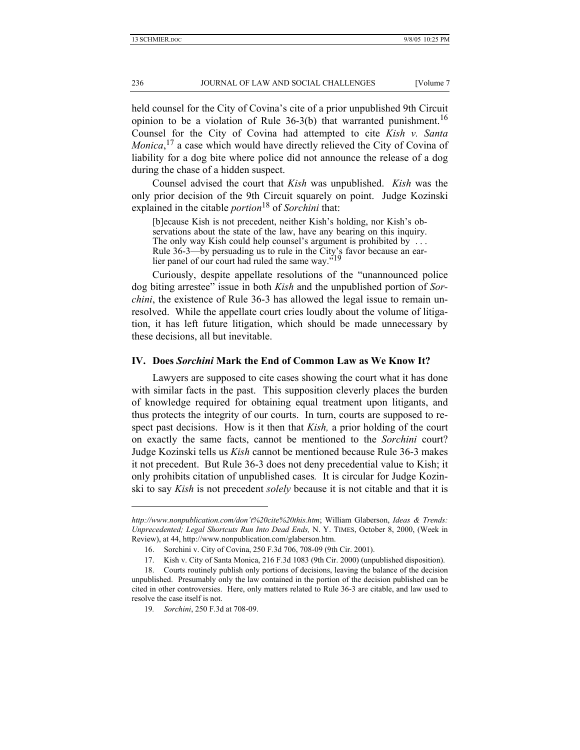held counsel for the City of Covina's cite of a prior unpublished 9th Circuit opinion to be a violation of Rule  $36-3(b)$  that warranted punishment.<sup>16</sup> Counsel for the City of Covina had attempted to cite *Kish v. Santa Monica*, 17 a case which would have directly relieved the City of Covina of liability for a dog bite where police did not announce the release of a dog during the chase of a hidden suspect.

Counsel advised the court that *Kish* was unpublished. *Kish* was the only prior decision of the 9th Circuit squarely on point. Judge Kozinski explained in the citable *portion*18 of *Sorchini* that:

[b]ecause Kish is not precedent, neither Kish's holding, nor Kish's observations about the state of the law, have any bearing on this inquiry. The only way Kish could help counsel's argument is prohibited by ... Rule 36-3—by persuading us to rule in the City's favor because an earlier panel of our court had ruled the same way.<sup>519</sup>

Curiously, despite appellate resolutions of the "unannounced police dog biting arrestee" issue in both *Kish* and the unpublished portion of *Sorchini*, the existence of Rule 36-3 has allowed the legal issue to remain unresolved. While the appellate court cries loudly about the volume of litigation, it has left future litigation, which should be made unnecessary by these decisions, all but inevitable.

# **IV. Does** *Sorchini* **Mark the End of Common Law as We Know It?**

Lawyers are supposed to cite cases showing the court what it has done with similar facts in the past. This supposition cleverly places the burden of knowledge required for obtaining equal treatment upon litigants, and thus protects the integrity of our courts. In turn, courts are supposed to respect past decisions. How is it then that *Kish,* a prior holding of the court on exactly the same facts, cannot be mentioned to the *Sorchini* court? Judge Kozinski tells us *Kish* cannot be mentioned because Rule 36-3 makes it not precedent. But Rule 36-3 does not deny precedential value to Kish; it only prohibits citation of unpublished cases*.* It is circular for Judge Kozinski to say *Kish* is not precedent *solely* because it is not citable and that it is

*http://www.nonpublication.com/don't%20cite%20this.htm*; William Glaberson, *Ideas & Trends: Unprecedented; Legal Shortcuts Run Into Dead Ends,* N. Y. TIMES, October 8, 2000, (Week in Review), at 44, http://www.nonpublication.com/glaberson.htm.

 <sup>16.</sup> Sorchini v. City of Covina, 250 F.3d 706, 708-09 (9th Cir. 2001).

 <sup>17.</sup> Kish v. City of Santa Monica, 216 F.3d 1083 (9th Cir. 2000) (unpublished disposition).

 <sup>18.</sup> Courts routinely publish only portions of decisions, leaving the balance of the decision unpublished. Presumably only the law contained in the portion of the decision published can be cited in other controversies. Here, only matters related to Rule 36-3 are citable, and law used to resolve the case itself is not.

<sup>19</sup>*. Sorchini*, 250 F.3d at 708-09.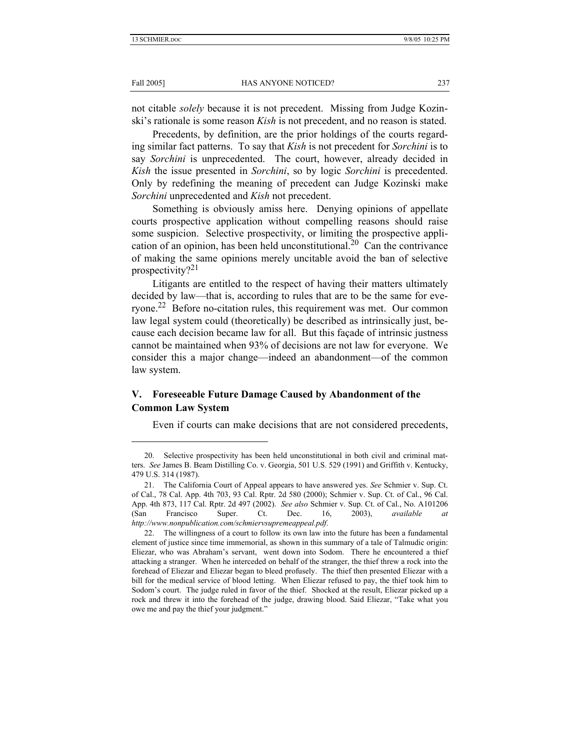#### Fall 2005] **HAS ANYONE NOTICED?** 237

not citable *solely* because it is not precedent. Missing from Judge Kozinski's rationale is some reason *Kish* is not precedent, and no reason is stated.

Precedents, by definition, are the prior holdings of the courts regarding similar fact patterns. To say that *Kish* is not precedent for *Sorchini* is to say *Sorchini* is unprecedented. The court, however, already decided in *Kish* the issue presented in *Sorchini*, so by logic *Sorchini* is precedented. Only by redefining the meaning of precedent can Judge Kozinski make *Sorchini* unprecedented and *Kish* not precedent.

Something is obviously amiss here. Denying opinions of appellate courts prospective application without compelling reasons should raise some suspicion. Selective prospectivity, or limiting the prospective application of an opinion, has been held unconstitutional.<sup>20</sup> Can the contrivance of making the same opinions merely uncitable avoid the ban of selective prospectivity? $21$ 

Litigants are entitled to the respect of having their matters ultimately decided by law—that is, according to rules that are to be the same for everyone.<sup>22</sup> Before no-citation rules, this requirement was met. Our common law legal system could (theoretically) be described as intrinsically just, because each decision became law for all. But this façade of intrinsic justness cannot be maintained when 93% of decisions are not law for everyone. We consider this a major change—indeed an abandonment—of the common law system.

# **V. Foreseeable Future Damage Caused by Abandonment of the Common Law System**

Even if courts can make decisions that are not considered precedents,

 <sup>20.</sup> Selective prospectivity has been held unconstitutional in both civil and criminal matters. *See* James B. Beam Distilling Co. v. Georgia, 501 U.S. 529 (1991) and Griffith v. Kentucky, 479 U.S. 314 (1987).

 <sup>21.</sup> The California Court of Appeal appears to have answered yes. *See* Schmier v. Sup. Ct. of Cal., 78 Cal. App. 4th 703, 93 Cal. Rptr. 2d 580 (2000); Schmier v. Sup. Ct. of Cal., 96 Cal. App. 4th 873, 117 Cal. Rptr. 2d 497 (2002). *See also* Schmier v. Sup. Ct. of Cal., No. A101206 (San Francisco Super. Ct. Dec. 16, 2003), *available at http://www.nonpublication.com/schmiervsupremeappeal.pdf*.

 <sup>22.</sup> The willingness of a court to follow its own law into the future has been a fundamental element of justice since time immemorial, as shown in this summary of a tale of Talmudic origin: Eliezar, who was Abraham's servant, went down into Sodom. There he encountered a thief attacking a stranger. When he interceded on behalf of the stranger, the thief threw a rock into the forehead of Eliezar and Eliezar began to bleed profusely. The thief then presented Eliezar with a bill for the medical service of blood letting. When Eliezar refused to pay, the thief took him to Sodom's court. The judge ruled in favor of the thief. Shocked at the result, Eliezar picked up a rock and threw it into the forehead of the judge, drawing blood. Said Eliezar, "Take what you owe me and pay the thief your judgment."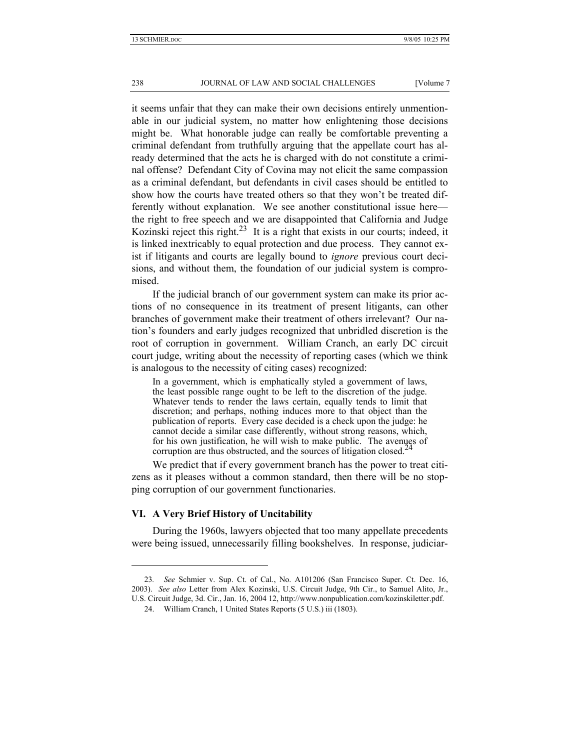it seems unfair that they can make their own decisions entirely unmentionable in our judicial system, no matter how enlightening those decisions might be. What honorable judge can really be comfortable preventing a criminal defendant from truthfully arguing that the appellate court has already determined that the acts he is charged with do not constitute a criminal offense? Defendant City of Covina may not elicit the same compassion as a criminal defendant, but defendants in civil cases should be entitled to show how the courts have treated others so that they won't be treated differently without explanation. We see another constitutional issue here the right to free speech and we are disappointed that California and Judge Kozinski reject this right.<sup>23</sup> It is a right that exists in our courts; indeed, it is linked inextricably to equal protection and due process. They cannot exist if litigants and courts are legally bound to *ignore* previous court decisions, and without them, the foundation of our judicial system is compromised.

If the judicial branch of our government system can make its prior actions of no consequence in its treatment of present litigants, can other branches of government make their treatment of others irrelevant? Our nation's founders and early judges recognized that unbridled discretion is the root of corruption in government. William Cranch, an early DC circuit court judge, writing about the necessity of reporting cases (which we think is analogous to the necessity of citing cases) recognized:

In a government, which is emphatically styled a government of laws, the least possible range ought to be left to the discretion of the judge. Whatever tends to render the laws certain, equally tends to limit that discretion; and perhaps, nothing induces more to that object than the publication of reports. Every case decided is a check upon the judge: he cannot decide a similar case differently, without strong reasons, which, for his own justification, he will wish to make public. The avenues of corruption are thus obstructed, and the sources of litigation closed.<sup>24</sup>

We predict that if every government branch has the power to treat citizens as it pleases without a common standard, then there will be no stopping corruption of our government functionaries.

### **VI. A Very Brief History of Uncitability**

l

During the 1960s, lawyers objected that too many appellate precedents were being issued, unnecessarily filling bookshelves. In response, judiciar-

<sup>23</sup>*. See* Schmier v. Sup. Ct. of Cal., No. A101206 (San Francisco Super. Ct. Dec. 16, 2003). *See also* Letter from Alex Kozinski, U.S. Circuit Judge, 9th Cir., to Samuel Alito, Jr., U.S. Circuit Judge, 3d. Cir., Jan. 16, 2004 12, http://www.nonpublication.com/kozinskiletter.pdf.

 <sup>24.</sup> William Cranch, 1 United States Reports (5 U.S.) iii (1803).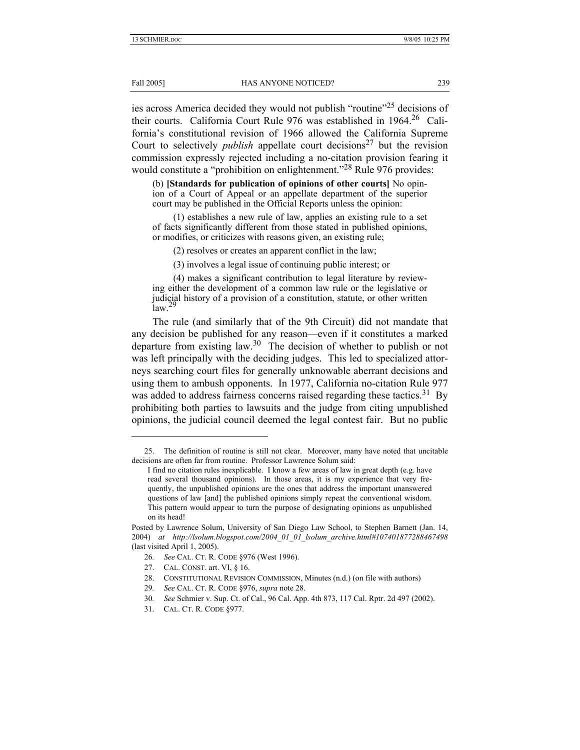#### Fall 2005] **HAS ANYONE NOTICED?** 239

ies across America decided they would not publish "routine"<sup>25</sup> decisions of their courts. California Court Rule 976 was established in 1964.<sup>26</sup> California's constitutional revision of 1966 allowed the California Supreme Court to selectively *publish* appellate court decisions<sup>27</sup> but the revision commission expressly rejected including a no-citation provision fearing it would constitute a "prohibition on enlightenment."<sup>28</sup> Rule 976 provides:

(b) **[Standards for publication of opinions of other courts]** No opinion of a Court of Appeal or an appellate department of the superior court may be published in the Official Reports unless the opinion:

 (1) establishes a new rule of law, applies an existing rule to a set of facts significantly different from those stated in published opinions, or modifies, or criticizes with reasons given, an existing rule;

(2) resolves or creates an apparent conflict in the law;

(3) involves a legal issue of continuing public interest; or

 (4) makes a significant contribution to legal literature by reviewing either the development of a common law rule or the legislative or judicial history of a provision of a constitution, statute, or other written  $\mathrm{law}$ <sup>29</sup>

The rule (and similarly that of the 9th Circuit) did not mandate that any decision be published for any reason—even if it constitutes a marked departure from existing law.<sup>30</sup> The decision of whether to publish or not was left principally with the deciding judges. This led to specialized attorneys searching court files for generally unknowable aberrant decisions and using them to ambush opponents. In 1977, California no-citation Rule 977 was added to address fairness concerns raised regarding these tactics.<sup>31</sup> By prohibiting both parties to lawsuits and the judge from citing unpublished opinions, the judicial council deemed the legal contest fair. But no public

- 27. CAL. CONST. art. VI, § 16.
- 28. CONSTITUTIONAL REVISION COMMISSION, Minutes (n.d.) (on file with authors)
- 29*. See* CAL. CT. R. CODE §976, *supra* note 28.
- 30*. See* Schmier v. Sup. Ct. of Cal., 96 Cal. App. 4th 873, 117 Cal. Rptr. 2d 497 (2002).
- 31. CAL. CT. R. CODE §977.

 <sup>25.</sup> The definition of routine is still not clear. Moreover, many have noted that uncitable decisions are often far from routine. Professor Lawrence Solum said:

I find no citation rules inexplicable. I know a few areas of law in great depth (e.g. have read several thousand opinions). In those areas, it is my experience that very frequently, the unpublished opinions are the ones that address the important unanswered questions of law [and] the published opinions simply repeat the conventional wisdom. This pattern would appear to turn the purpose of designating opinions as unpublished on its head!

Posted by Lawrence Solum, University of San Diego Law School, to Stephen Barnett (Jan. 14, 2004) *at http://lsolum.blogspot.com/2004\_01\_01\_lsolum\_archive.html#107401877288467498* (last visited April 1, 2005).

<sup>26</sup>*. See* CAL. CT. R. CODE §976 (West 1996).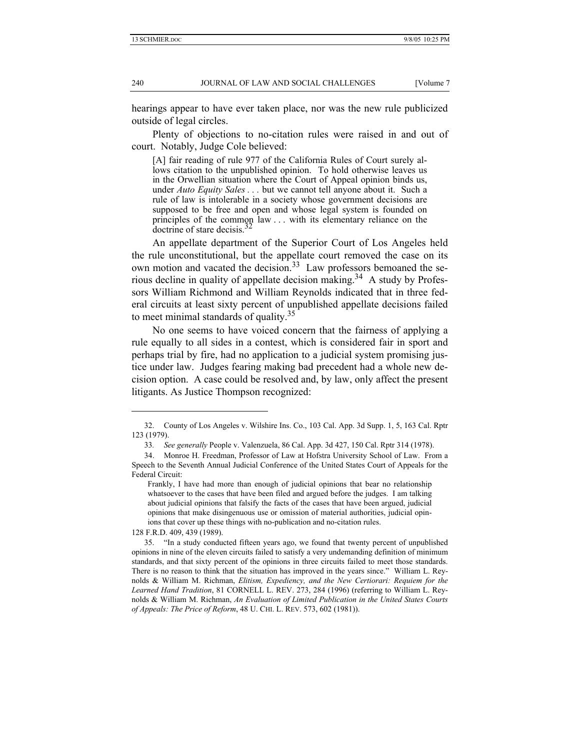hearings appear to have ever taken place, nor was the new rule publicized outside of legal circles.

Plenty of objections to no-citation rules were raised in and out of court. Notably, Judge Cole believed:

[A] fair reading of rule 977 of the California Rules of Court surely allows citation to the unpublished opinion. To hold otherwise leaves us in the Orwellian situation where the Court of Appeal opinion binds us, under *Auto Equity Sales . . .* but we cannot tell anyone about it. Such a rule of law is intolerable in a society whose government decisions are supposed to be free and open and whose legal system is founded on principles of the common law . . . with its elementary reliance on the doctrine of stare decisis.

An appellate department of the Superior Court of Los Angeles held the rule unconstitutional, but the appellate court removed the case on its own motion and vacated the decision.<sup>33</sup> Law professors bemoaned the serious decline in quality of appellate decision making.<sup>34</sup> A study by Professors William Richmond and William Reynolds indicated that in three federal circuits at least sixty percent of unpublished appellate decisions failed to meet minimal standards of quality.<sup>35</sup>

No one seems to have voiced concern that the fairness of applying a rule equally to all sides in a contest, which is considered fair in sport and perhaps trial by fire, had no application to a judicial system promising justice under law. Judges fearing making bad precedent had a whole new decision option. A case could be resolved and, by law, only affect the present litigants. As Justice Thompson recognized:

128 F.R.D. 409, 439 (1989).

 <sup>32.</sup> County of Los Angeles v. Wilshire Ins. Co., 103 Cal. App. 3d Supp. 1, 5, 163 Cal. Rptr 123 (1979).

<sup>33</sup>*. See generally* People v. Valenzuela, 86 Cal. App. 3d 427, 150 Cal. Rptr 314 (1978).

 <sup>34.</sup> Monroe H. Freedman, Professor of Law at Hofstra University School of Law. From a Speech to the Seventh Annual Judicial Conference of the United States Court of Appeals for the Federal Circuit:

Frankly, I have had more than enough of judicial opinions that bear no relationship whatsoever to the cases that have been filed and argued before the judges. I am talking about judicial opinions that falsify the facts of the cases that have been argued, judicial opinions that make disingenuous use or omission of material authorities, judicial opinions that cover up these things with no-publication and no-citation rules.

 <sup>35. &</sup>quot;In a study conducted fifteen years ago, we found that twenty percent of unpublished opinions in nine of the eleven circuits failed to satisfy a very undemanding definition of minimum standards, and that sixty percent of the opinions in three circuits failed to meet those standards. There is no reason to think that the situation has improved in the years since." William L. Reynolds & William M. Richman, *Elitism, Expediency, and the New Certiorari: Requiem for the Learned Hand Tradition*, 81 CORNELL L. REV. 273, 284 (1996) (referring to William L. Reynolds & William M. Richman, *An Evaluation of Limited Publication in the United States Courts of Appeals: The Price of Reform*, 48 U. CHI. L. REV. 573, 602 (1981)).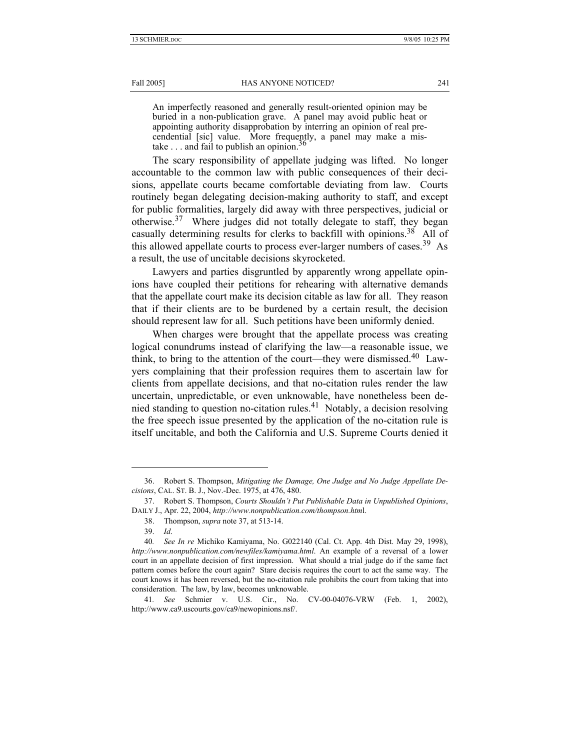Fall 2005] **HAS ANYONE NOTICED?** 241

An imperfectly reasoned and generally result-oriented opinion may be buried in a non-publication grave. A panel may avoid public heat or appointing authority disapprobation by interring an opinion of real precendential [sic] value. More frequently, a panel may make a mistake  $\ldots$  and fail to publish an opinion.<sup>36</sup>

The scary responsibility of appellate judging was lifted. No longer accountable to the common law with public consequences of their decisions, appellate courts became comfortable deviating from law. Courts routinely began delegating decision-making authority to staff, and except for public formalities, largely did away with three perspectives, judicial or otherwise.<sup>37</sup> Where judges did not totally delegate to staff, they began casually determining results for clerks to backfill with opinions.<sup>38</sup> All of this allowed appellate courts to process ever-larger numbers of cases.<sup>39</sup> As a result, the use of uncitable decisions skyrocketed.

Lawyers and parties disgruntled by apparently wrong appellate opinions have coupled their petitions for rehearing with alternative demands that the appellate court make its decision citable as law for all. They reason that if their clients are to be burdened by a certain result, the decision should represent law for all. Such petitions have been uniformly denied.

When charges were brought that the appellate process was creating logical conundrums instead of clarifying the law—a reasonable issue, we think, to bring to the attention of the court—they were dismissed.<sup>40</sup> Lawyers complaining that their profession requires them to ascertain law for clients from appellate decisions, and that no-citation rules render the law uncertain, unpredictable, or even unknowable, have nonetheless been denied standing to question no-citation rules.<sup>41</sup> Notably, a decision resolving the free speech issue presented by the application of the no-citation rule is itself uncitable, and both the California and U.S. Supreme Courts denied it

 <sup>36.</sup> Robert S. Thompson, *Mitigating the Damage, One Judge and No Judge Appellate Decisions*, CAL. ST. B. J., Nov.-Dec. 1975, at 476, 480.

 <sup>37.</sup> Robert S. Thompson, *Courts Shouldn't Put Publishable Data in Unpublished Opinions*, DAILY J., Apr. 22, 2004, *http://www.nonpublication.com/thompson.htm*l.

 <sup>38.</sup> Thompson, *supra* note 37, at 513-14.

 <sup>39.</sup> *Id*.

<sup>40</sup>*. See In re* Michiko Kamiyama, No. G022140 (Cal. Ct. App. 4th Dist. May 29, 1998), *http://www.nonpublication.com/newfiles/kamiyama.html*. An example of a reversal of a lower court in an appellate decision of first impression. What should a trial judge do if the same fact pattern comes before the court again? Stare decisis requires the court to act the same way. The court knows it has been reversed, but the no-citation rule prohibits the court from taking that into consideration. The law, by law, becomes unknowable.

<sup>41</sup>*. See* Schmier v. U.S. Cir., No. CV-00-04076-VRW (Feb. 1, 2002), http://www.ca9.uscourts.gov/ca9/newopinions.nsf/.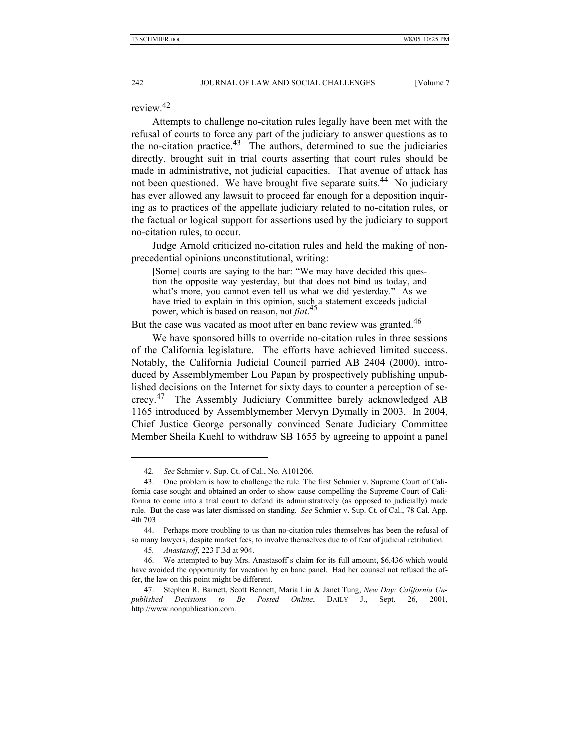review.<sup>42</sup>

Attempts to challenge no-citation rules legally have been met with the refusal of courts to force any part of the judiciary to answer questions as to the no-citation practice.<sup>43</sup> The authors, determined to sue the judiciaries directly, brought suit in trial courts asserting that court rules should be made in administrative, not judicial capacities. That avenue of attack has not been questioned. We have brought five separate suits.<sup>44</sup> No judiciary has ever allowed any lawsuit to proceed far enough for a deposition inquiring as to practices of the appellate judiciary related to no-citation rules, or the factual or logical support for assertions used by the judiciary to support no-citation rules, to occur.

Judge Arnold criticized no-citation rules and held the making of nonprecedential opinions unconstitutional, writing:

[Some] courts are saying to the bar: "We may have decided this question the opposite way yesterday, but that does not bind us today, and what's more, you cannot even tell us what we did yesterday." As we have tried to explain in this opinion, such a statement exceeds judicial power, which is based on reason, not *fiat*. 45

But the case was vacated as moot after en banc review was granted.<sup>46</sup>

We have sponsored bills to override no-citation rules in three sessions of the California legislature. The efforts have achieved limited success. Notably, the California Judicial Council parried AB 2404 (2000), introduced by Assemblymember Lou Papan by prospectively publishing unpublished decisions on the Internet for sixty days to counter a perception of secrecy.47 The Assembly Judiciary Committee barely acknowledged AB 1165 introduced by Assemblymember Mervyn Dymally in 2003. In 2004, Chief Justice George personally convinced Senate Judiciary Committee Member Sheila Kuehl to withdraw SB 1655 by agreeing to appoint a panel

<sup>42</sup>*. See* Schmier v. Sup. Ct. of Cal., No. A101206.

 <sup>43.</sup> One problem is how to challenge the rule. The first Schmier v. Supreme Court of California case sought and obtained an order to show cause compelling the Supreme Court of California to come into a trial court to defend its administratively (as opposed to judicially) made rule. But the case was later dismissed on standing. *See* Schmier v. Sup. Ct. of Cal., 78 Cal. App. 4th 703

 <sup>44.</sup> Perhaps more troubling to us than no-citation rules themselves has been the refusal of so many lawyers, despite market fees, to involve themselves due to of fear of judicial retribution.

<sup>45</sup>*. Anastasoff*, 223 F.3d at 904.

 <sup>46.</sup> We attempted to buy Mrs. Anastasoff's claim for its full amount, \$6,436 which would have avoided the opportunity for vacation by en banc panel. Had her counsel not refused the offer, the law on this point might be different.

 <sup>47.</sup> Stephen R. Barnett, Scott Bennett, Maria Lin & Janet Tung, *New Day: California Unpublished Decisions to Be Posted Online*, DAILY J., Sept. 26, 2001, http://www.nonpublication.com.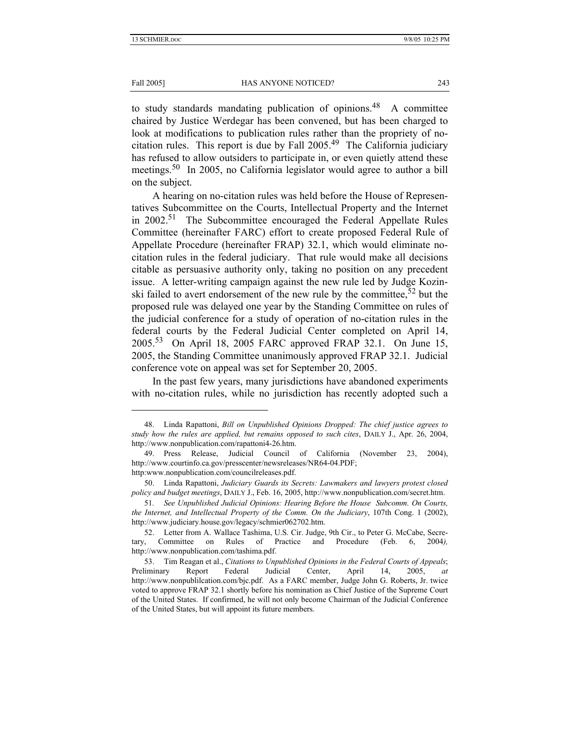### Fall 2005] **HAS ANYONE NOTICED?** 243

to study standards mandating publication of opinions.<sup>48</sup> A committee chaired by Justice Werdegar has been convened, but has been charged to look at modifications to publication rules rather than the propriety of nocitation rules. This report is due by Fall 2005.49 The California judiciary has refused to allow outsiders to participate in, or even quietly attend these meetings.<sup>50</sup> In 2005, no California legislator would agree to author a bill on the subject.

A hearing on no-citation rules was held before the House of Representatives Subcommittee on the Courts, Intellectual Property and the Internet in  $2002$ <sup>51</sup> The Subcommittee encouraged the Federal Appellate Rules Committee (hereinafter FARC) effort to create proposed Federal Rule of Appellate Procedure (hereinafter FRAP) 32.1, which would eliminate nocitation rules in the federal judiciary. That rule would make all decisions citable as persuasive authority only, taking no position on any precedent issue. A letter-writing campaign against the new rule led by Judge Kozinski failed to avert endorsement of the new rule by the committee,  $52$  but the proposed rule was delayed one year by the Standing Committee on rules of the judicial conference for a study of operation of no-citation rules in the federal courts by the Federal Judicial Center completed on April 14, 2005.53 On April 18, 2005 FARC approved FRAP 32.1. On June 15, 2005, the Standing Committee unanimously approved FRAP 32.1. Judicial conference vote on appeal was set for September 20, 2005.

In the past few years, many jurisdictions have abandoned experiments with no-citation rules, while no jurisdiction has recently adopted such a

 <sup>48.</sup> Linda Rapattoni, *Bill on Unpublished Opinions Dropped: The chief justice agrees to study how the rules are applied, but remains opposed to such cites*, DAILY J., Apr. 26, 2004, http://www.nonpublication.com/rapattoni4-26.htm.

 <sup>49.</sup> Press Release, Judicial Council of California (November 23, 2004), http://www.courtinfo.ca.gov/presscenter/newsreleases/NR64-04.PDF; http:www.nonpublication.com/councilreleases.pdf.

 <sup>50.</sup> Linda Rapattoni, *Judiciary Guards its Secrets: Lawmakers and lawyers protest closed policy and budget meetings*, DAILY J., Feb. 16, 2005, http://www.nonpublication.com/secret.htm.

<sup>51</sup>*. See Unpublished Judicial Opinions: Hearing Before the House Subcomm. On Courts, the Internet, and Intellectual Property of the Comm. On the Judiciary*, 107th Cong. 1 (2002), http://www.judiciary.house.gov/legacy/schmier062702.htm.

 <sup>52.</sup> Letter from A. Wallace Tashima, U.S. Cir. Judge, 9th Cir., to Peter G. McCabe, Secre-Committee on Rules of Practice and Procedure (Feb. 6, 2004), http://www.nonpublication.com/tashima.pdf.

 <sup>53.</sup> Tim Reagan et al., *Citations to Unpublished Opinions in the Federal Courts of Appeals*; Preliminary Report Federal Judicial Center, April 14, 2005, *at* http://www.nonpublilcation.com/bjc.pdf. As a FARC member, Judge John G. Roberts, Jr. twice voted to approve FRAP 32.1 shortly before his nomination as Chief Justice of the Supreme Court of the United States. If confirmed, he will not only become Chairman of the Judicial Conference of the United States, but will appoint its future members.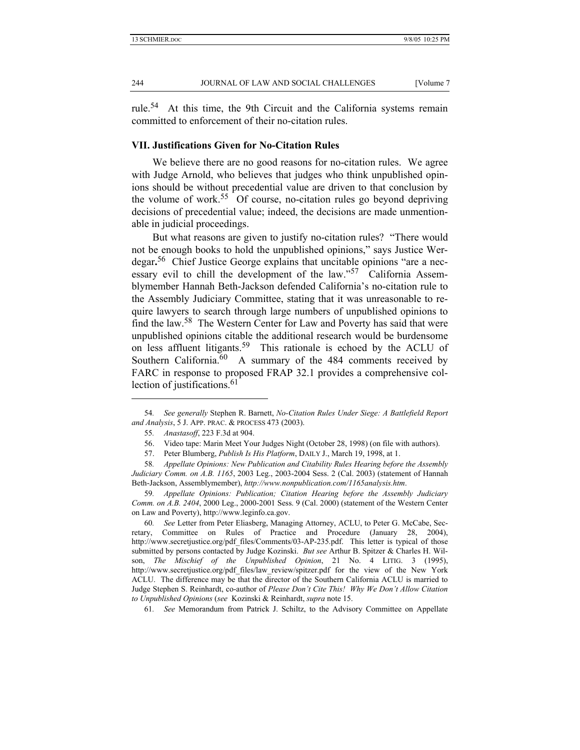rule.<sup>54</sup> At this time, the 9th Circuit and the California systems remain committed to enforcement of their no-citation rules.

# **VII. Justifications Given for No-Citation Rules**

We believe there are no good reasons for no-citation rules. We agree with Judge Arnold, who believes that judges who think unpublished opinions should be without precedential value are driven to that conclusion by the volume of work.<sup>55</sup> Of course, no-citation rules go beyond depriving decisions of precedential value; indeed, the decisions are made unmentionable in judicial proceedings.

But what reasons are given to justify no-citation rules? "There would not be enough books to hold the unpublished opinions," says Justice Werdegar**.** 56 Chief Justice George explains that uncitable opinions "are a necessary evil to chill the development of the law."<sup>57</sup> California Assemblymember Hannah Beth-Jackson defended California's no-citation rule to the Assembly Judiciary Committee, stating that it was unreasonable to require lawyers to search through large numbers of unpublished opinions to find the law.58 The Western Center for Law and Poverty has said that were unpublished opinions citable the additional research would be burdensome on less affluent litigants.<sup>59</sup> This rationale is echoed by the ACLU of Southern California.<sup>60</sup> A summary of the 484 comments received by FARC in response to proposed FRAP 32.1 provides a comprehensive collection of justifications. $61$ 

l

60*. See* Letter from Peter Eliasberg, Managing Attorney, ACLU, to Peter G. McCabe, Secretary, Committee on Rules of Practice and Procedure (January 28, 2004), http://www.secretjustice.org/pdf\_files/Comments/03-AP-235.pdf. This letter is typical of those submitted by persons contacted by Judge Kozinski. *But see* Arthur B. Spitzer & Charles H. Wilson, *The Mischief of the Unpublished Opinion*, 21 No. 4 LITIG. 3 (1995), http://www.secretjustice.org/pdf\_files/law\_review/spitzer.pdf for the view of the New York ACLU. The difference may be that the director of the Southern California ACLU is married to Judge Stephen S. Reinhardt, co-author of *Please Don't Cite This! Why We Don't Allow Citation to Unpublished Opinions* (*see* Kozinski & Reinhardt, *supra* note 15.

61*. See* Memorandum from Patrick J. Schiltz, to the Advisory Committee on Appellate

<sup>54</sup>*. See generally* Stephen R. Barnett, *No-Citation Rules Under Siege: A Battlefield Report and Analysis*, 5 J. APP. PRAC. & PROCESS 473 (2003).

<sup>55</sup>*. Anastasoff*, 223 F.3d at 904.

 <sup>56.</sup> Video tape: Marin Meet Your Judges Night (October 28, 1998) (on file with authors).

 <sup>57.</sup> Peter Blumberg, *Publish Is His Platform*, DAILY J., March 19, 1998, at 1.

<sup>58</sup>*. Appellate Opinions: New Publication and Citability Rules Hearing before the Assembly Judiciary Comm. on A.B. 1165*, 2003 Leg., 2003-2004 Sess. 2 (Cal. 2003) (statement of Hannah Beth-Jackson, Assemblymember), *http://www.nonpublication.com/1165analysis.htm*.

<sup>59</sup>*. Appellate Opinions: Publication; Citation Hearing before the Assembly Judiciary Comm. on A.B. 2404*, 2000 Leg., 2000-2001 Sess. 9 (Cal. 2000) (statement of the Western Center on Law and Poverty), http://www.leginfo.ca.gov.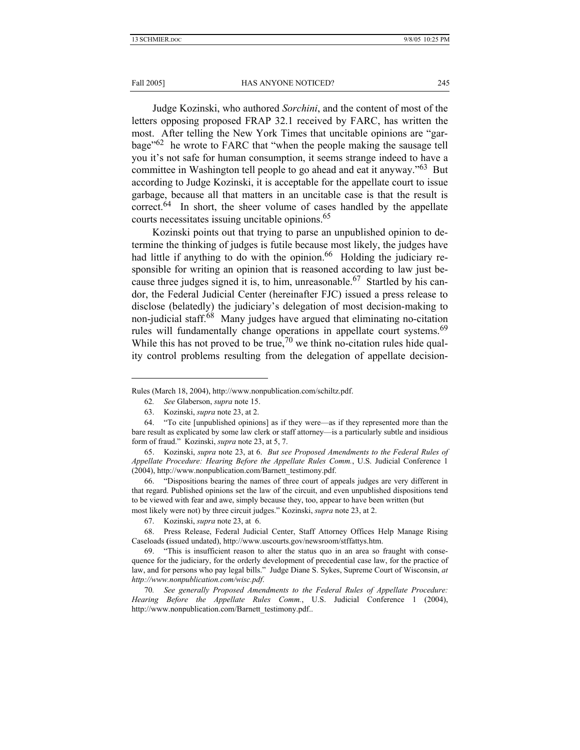#### Fall 2005] **HAS ANYONE NOTICED?** 245

Judge Kozinski, who authored *Sorchini*, and the content of most of the letters opposing proposed FRAP 32.1 received by FARC, has written the most. After telling the New York Times that uncitable opinions are "garbage $^{62}$  he wrote to FARC that "when the people making the sausage tell you it's not safe for human consumption, it seems strange indeed to have a committee in Washington tell people to go ahead and eat it anyway."63 But according to Judge Kozinski, it is acceptable for the appellate court to issue garbage, because all that matters in an uncitable case is that the result is  $correct<sup>64</sup>$  In short, the sheer volume of cases handled by the appellate courts necessitates issuing uncitable opinions.<sup>65</sup>

Kozinski points out that trying to parse an unpublished opinion to determine the thinking of judges is futile because most likely, the judges have had little if anything to do with the opinion.<sup>66</sup> Holding the judiciary responsible for writing an opinion that is reasoned according to law just because three judges signed it is, to him, unreasonable.<sup>67</sup> Startled by his candor, the Federal Judicial Center (hereinafter FJC) issued a press release to disclose (belatedly) the judiciary's delegation of most decision-making to non-judicial staff.<sup>68</sup> Many judges have argued that eliminating no-citation rules will fundamentally change operations in appellate court systems.<sup>69</sup> While this has not proved to be true,<sup>70</sup> we think no-citation rules hide quality control problems resulting from the delegation of appellate decision-

 66. "Dispositions bearing the names of three court of appeals judges are very different in that regard. Published opinions set the law of the circuit, and even unpublished dispositions tend to be viewed with fear and awe, simply because they, too, appear to have been written (but most likely were not) by three circuit judges." Kozinski, *supra* note 23, at 2.

Rules (March 18, 2004), http://www.nonpublication.com/schiltz.pdf.

<sup>62</sup>*. See* Glaberson, *supra* note 15.

 <sup>63.</sup> Kozinski, *supra* note 23, at 2.

 <sup>64. &</sup>quot;To cite [unpublished opinions] as if they were—as if they represented more than the bare result as explicated by some law clerk or staff attorney—is a particularly subtle and insidious form of fraud." Kozinski, *supra* note 23, at 5, 7.

 <sup>65.</sup> Kozinski, *supra* note 23, at 6. *But see Proposed Amendments to the Federal Rules of Appellate Procedure: Hearing Before the Appellate Rules Comm.*, U.S. Judicial Conference 1 (2004), http://www.nonpublication.com/Barnett\_testimony.pdf.

 <sup>67.</sup> Kozinski, *supra* note 23, at 6.

 <sup>68.</sup> Press Release, Federal Judicial Center, Staff Attorney Offices Help Manage Rising Caseloads **(**issued undated), http://www.uscourts.gov/newsroom/stffattys.htm.

 <sup>69. &</sup>quot;This is insufficient reason to alter the status quo in an area so fraught with consequence for the judiciary, for the orderly development of precedential case law, for the practice of law, and for persons who pay legal bills." Judge Diane S. Sykes, Supreme Court of Wisconsin, *at http://www.nonpublication.com/wisc.pdf*.

<sup>70</sup>*. See generally Proposed Amendments to the Federal Rules of Appellate Procedure: Hearing Before the Appellate Rules Comm.*, U.S. Judicial Conference 1 (2004), http://www.nonpublication.com/Barnett\_testimony.pdf..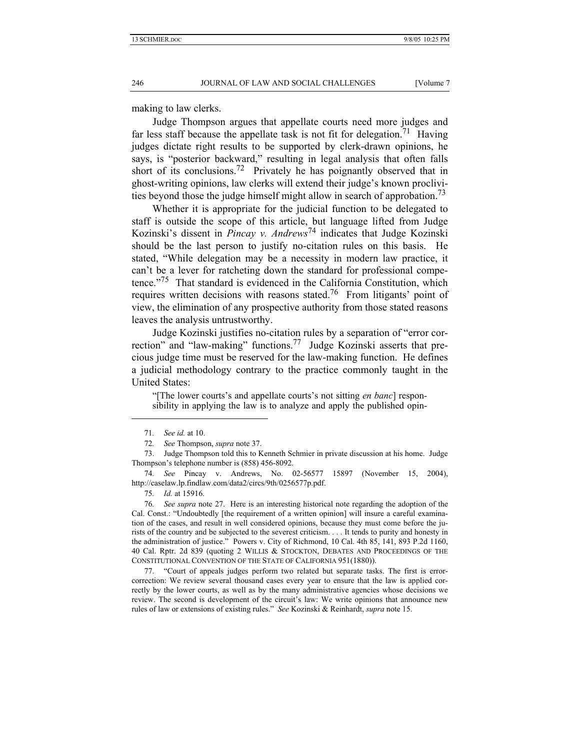making to law clerks.

Judge Thompson argues that appellate courts need more judges and far less staff because the appellate task is not fit for delegation.<sup>71</sup> Having judges dictate right results to be supported by clerk-drawn opinions, he says, is "posterior backward," resulting in legal analysis that often falls short of its conclusions.<sup>72</sup> Privately he has poignantly observed that in ghost-writing opinions, law clerks will extend their judge's known proclivities beyond those the judge himself might allow in search of approbation.<sup>73</sup>

Whether it is appropriate for the judicial function to be delegated to staff is outside the scope of this article, but language lifted from Judge Kozinski's dissent in *Pincay v. Andrews*74 indicates that Judge Kozinski should be the last person to justify no-citation rules on this basis. He stated, "While delegation may be a necessity in modern law practice, it can't be a lever for ratcheting down the standard for professional competence."<sup>75</sup> That standard is evidenced in the California Constitution, which requires written decisions with reasons stated.<sup>76</sup> From litigants' point of view, the elimination of any prospective authority from those stated reasons leaves the analysis untrustworthy.

Judge Kozinski justifies no-citation rules by a separation of "error correction" and "law-making" functions.<sup>77</sup> Judge Kozinski asserts that precious judge time must be reserved for the law-making function. He defines a judicial methodology contrary to the practice commonly taught in the United States:

"[The lower courts's and appellate courts's not sitting *en banc*] responsibility in applying the law is to analyze and apply the published opin-

l

75*. Id.* at 15916.

<sup>71</sup>*. See id.* at 10.

<sup>72</sup>*. See* Thompson, *supra* note 37.

 <sup>73.</sup> Judge Thompson told this to Kenneth Schmier in private discussion at his home. Judge Thompson's telephone number is (858) 456-8092.

<sup>74</sup>*. See* Pincay v. Andrews, No. 02-56577 15897 (November 15, 2004), http://caselaw.lp.findlaw.com/data2/circs/9th/0256577p.pdf.

<sup>76</sup>*. See supra* note 27. Here is an interesting historical note regarding the adoption of the Cal. Const.: "Undoubtedly [the requirement of a written opinion] will insure a careful examination of the cases, and result in well considered opinions, because they must come before the jurists of the country and be subjected to the severest criticism. . . . It tends to purity and honesty in the administration of justice." Powers v. City of Richmond, 10 Cal. 4th 85, 141, 893 P.2d 1160, 40 Cal. Rptr. 2d 839 (quoting 2 WILLIS & STOCKTON, DEBATES AND PROCEEDINGS OF THE CONSTITUTIONAL CONVENTION OF THE STATE OF CALIFORNIA 951(1880)).

 <sup>77. &</sup>quot;Court of appeals judges perform two related but separate tasks. The first is errorcorrection: We review several thousand cases every year to ensure that the law is applied correctly by the lower courts, as well as by the many administrative agencies whose decisions we review. The second is development of the circuit's law: We write opinions that announce new rules of law or extensions of existing rules." *See* Kozinski & Reinhardt, *supra* note 15.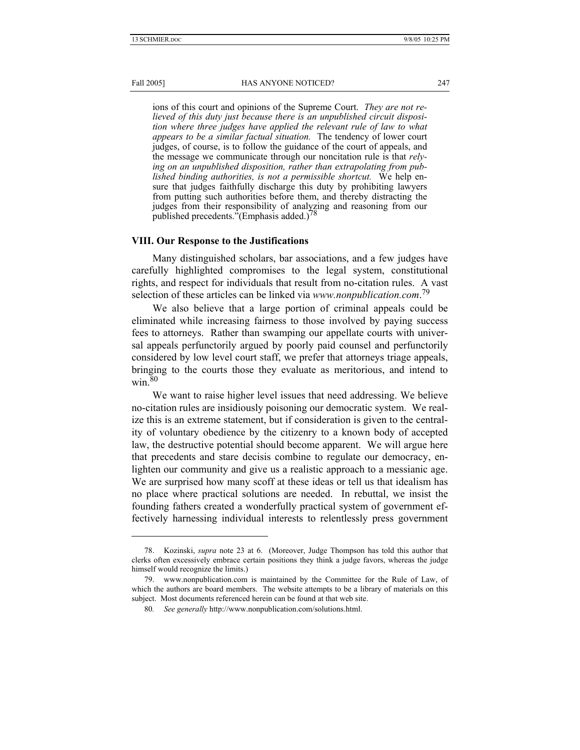#### Fall 2005] **HAS ANYONE NOTICED?** 247

ions of this court and opinions of the Supreme Court. *They are not relieved of this duty just because there is an unpublished circuit disposition where three judges have applied the relevant rule of law to what appears to be a similar factual situation.* The tendency of lower court judges, of course, is to follow the guidance of the court of appeals, and the message we communicate through our noncitation rule is that *relying on an unpublished disposition, rather than extrapolating from published binding authorities, is not a permissible shortcut.* We help ensure that judges faithfully discharge this duty by prohibiting lawyers from putting such authorities before them, and thereby distracting the judges from their responsibility of analyzing and reasoning from our published precedents."(Emphasis added.)<sup>78</sup>

### **VIII. Our Response to the Justifications**

Many distinguished scholars, bar associations, and a few judges have carefully highlighted compromises to the legal system, constitutional rights, and respect for individuals that result from no-citation rules. A vast selection of these articles can be linked via *www.nonpublication.com*. 79

We also believe that a large portion of criminal appeals could be eliminated while increasing fairness to those involved by paying success fees to attorneys. Rather than swamping our appellate courts with universal appeals perfunctorily argued by poorly paid counsel and perfunctorily considered by low level court staff, we prefer that attorneys triage appeals, bringing to the courts those they evaluate as meritorious, and intend to win.80

We want to raise higher level issues that need addressing. We believe no-citation rules are insidiously poisoning our democratic system. We realize this is an extreme statement, but if consideration is given to the centrality of voluntary obedience by the citizenry to a known body of accepted law, the destructive potential should become apparent. We will argue here that precedents and stare decisis combine to regulate our democracy, enlighten our community and give us a realistic approach to a messianic age. We are surprised how many scoff at these ideas or tell us that idealism has no place where practical solutions are needed. In rebuttal, we insist the founding fathers created a wonderfully practical system of government effectively harnessing individual interests to relentlessly press government

 <sup>78.</sup> Kozinski, *supra* note 23 at 6. (Moreover, Judge Thompson has told this author that clerks often excessively embrace certain positions they think a judge favors, whereas the judge himself would recognize the limits.)

 <sup>79.</sup> www.nonpublication.com is maintained by the Committee for the Rule of Law, of which the authors are board members. The website attempts to be a library of materials on this subject. Most documents referenced herein can be found at that web site.

<sup>80</sup>*. See generally* http://www.nonpublication.com/solutions.html.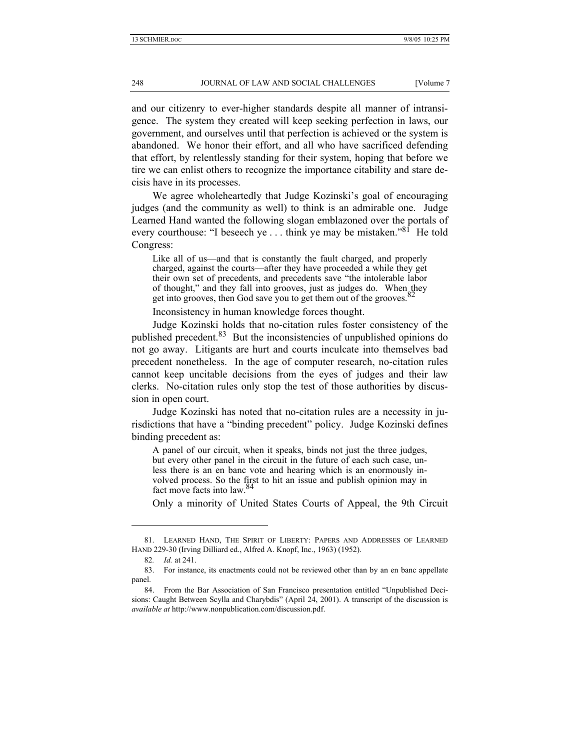and our citizenry to ever-higher standards despite all manner of intransigence. The system they created will keep seeking perfection in laws, our government, and ourselves until that perfection is achieved or the system is abandoned. We honor their effort, and all who have sacrificed defending that effort, by relentlessly standing for their system, hoping that before we tire we can enlist others to recognize the importance citability and stare decisis have in its processes.

We agree wholeheartedly that Judge Kozinski's goal of encouraging judges (and the community as well) to think is an admirable one. Judge Learned Hand wanted the following slogan emblazoned over the portals of every courthouse: "I beseech ye . . . think ye may be mistaken."<sup>81</sup> He told Congress:

Like all of us—and that is constantly the fault charged, and properly charged, against the courts—after they have proceeded a while they get their own set of precedents, and precedents save "the intolerable labor of thought," and they fall into grooves, just as judges do. When they get into grooves, then God save you to get them out of the grooves. $82$ 

Inconsistency in human knowledge forces thought.

Judge Kozinski holds that no-citation rules foster consistency of the published precedent.<sup>83</sup> But the inconsistencies of unpublished opinions do not go away. Litigants are hurt and courts inculcate into themselves bad precedent nonetheless. In the age of computer research, no-citation rules cannot keep uncitable decisions from the eyes of judges and their law clerks. No-citation rules only stop the test of those authorities by discussion in open court.

Judge Kozinski has noted that no-citation rules are a necessity in jurisdictions that have a "binding precedent" policy. Judge Kozinski defines binding precedent as:

A panel of our circuit, when it speaks, binds not just the three judges, but every other panel in the circuit in the future of each such case, unless there is an en banc vote and hearing which is an enormously involved process. So the first to hit an issue and publish opinion may in fact move facts into law.84

Only a minority of United States Courts of Appeal, the 9th Circuit

 <sup>81.</sup> LEARNED HAND, THE SPIRIT OF LIBERTY: PAPERS AND ADDRESSES OF LEARNED HAND 229-30 (Irving Dilliard ed., Alfred A. Knopf, Inc., 1963) (1952).

<sup>82</sup>*. Id.* at 241.

 <sup>83.</sup> For instance, its enactments could not be reviewed other than by an en banc appellate panel.

 <sup>84.</sup> From the Bar Association of San Francisco presentation entitled "Unpublished Decisions: Caught Between Scylla and Charybdis" (April 24, 2001). A transcript of the discussion is *available at* http://www.nonpublication.com/discussion.pdf.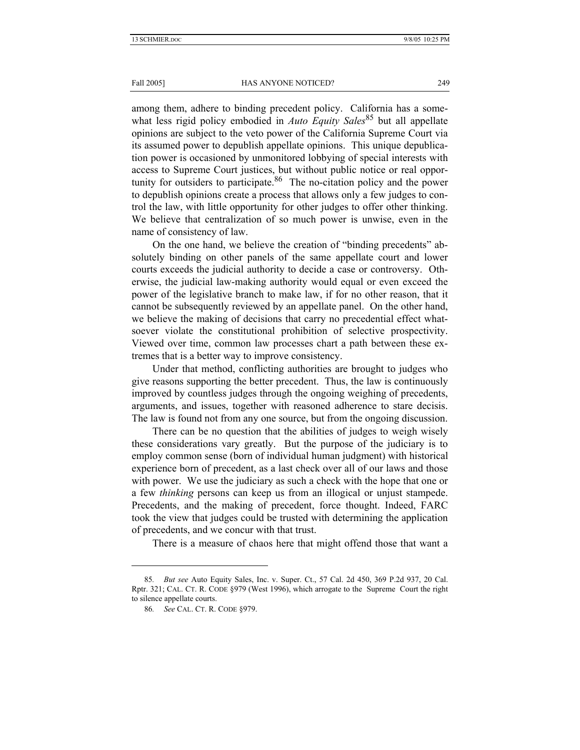#### Fall 2005] **HAS ANYONE NOTICED?** 249

among them, adhere to binding precedent policy. California has a somewhat less rigid policy embodied in *Auto Equity Sales*<sup>85</sup> but all appellate opinions are subject to the veto power of the California Supreme Court via its assumed power to depublish appellate opinions. This unique depublication power is occasioned by unmonitored lobbying of special interests with access to Supreme Court justices, but without public notice or real opportunity for outsiders to participate. <sup>86</sup> The no-citation policy and the power to depublish opinions create a process that allows only a few judges to control the law, with little opportunity for other judges to offer other thinking. We believe that centralization of so much power is unwise, even in the name of consistency of law.

On the one hand, we believe the creation of "binding precedents" absolutely binding on other panels of the same appellate court and lower courts exceeds the judicial authority to decide a case or controversy. Otherwise, the judicial law-making authority would equal or even exceed the power of the legislative branch to make law, if for no other reason, that it cannot be subsequently reviewed by an appellate panel. On the other hand, we believe the making of decisions that carry no precedential effect whatsoever violate the constitutional prohibition of selective prospectivity. Viewed over time, common law processes chart a path between these extremes that is a better way to improve consistency.

Under that method, conflicting authorities are brought to judges who give reasons supporting the better precedent. Thus, the law is continuously improved by countless judges through the ongoing weighing of precedents, arguments, and issues, together with reasoned adherence to stare decisis. The law is found not from any one source, but from the ongoing discussion.

There can be no question that the abilities of judges to weigh wisely these considerations vary greatly. But the purpose of the judiciary is to employ common sense (born of individual human judgment) with historical experience born of precedent, as a last check over all of our laws and those with power. We use the judiciary as such a check with the hope that one or a few *thinking* persons can keep us from an illogical or unjust stampede. Precedents, and the making of precedent, force thought. Indeed, FARC took the view that judges could be trusted with determining the application of precedents, and we concur with that trust.

There is a measure of chaos here that might offend those that want a

<sup>85</sup>*. But see* Auto Equity Sales, Inc. v. Super. Ct., 57 Cal. 2d 450, 369 P.2d 937, 20 Cal. Rptr. 321; CAL. CT. R. CODE §979 (West 1996), which arrogate to the Supreme Court the right to silence appellate courts.

<sup>86</sup>*. See* CAL. CT. R. CODE §979.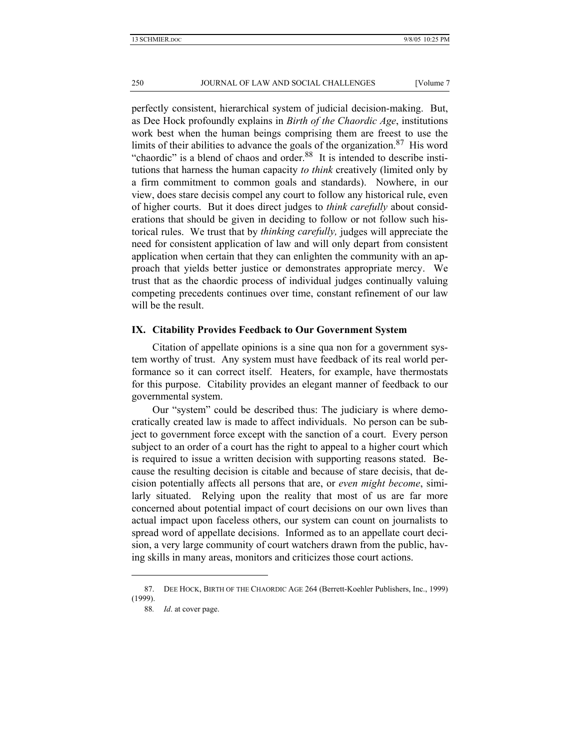perfectly consistent, hierarchical system of judicial decision-making. But, as Dee Hock profoundly explains in *Birth of the Chaordic Age*, institutions work best when the human beings comprising them are freest to use the limits of their abilities to advance the goals of the organization.<sup>87</sup> His word "chaordic" is a blend of chaos and order.<sup>88</sup> It is intended to describe institutions that harness the human capacity *to think* creatively (limited only by a firm commitment to common goals and standards). Nowhere, in our view, does stare decisis compel any court to follow any historical rule, even of higher courts. But it does direct judges to *think carefully* about considerations that should be given in deciding to follow or not follow such historical rules. We trust that by *thinking carefully,* judges will appreciate the need for consistent application of law and will only depart from consistent application when certain that they can enlighten the community with an approach that yields better justice or demonstrates appropriate mercy. We trust that as the chaordic process of individual judges continually valuing competing precedents continues over time, constant refinement of our law will be the result.

### **IX. Citability Provides Feedback to Our Government System**

Citation of appellate opinions is a sine qua non for a government system worthy of trust. Any system must have feedback of its real world performance so it can correct itself. Heaters, for example, have thermostats for this purpose. Citability provides an elegant manner of feedback to our governmental system.

Our "system" could be described thus: The judiciary is where democratically created law is made to affect individuals. No person can be subject to government force except with the sanction of a court. Every person subject to an order of a court has the right to appeal to a higher court which is required to issue a written decision with supporting reasons stated. Because the resulting decision is citable and because of stare decisis, that decision potentially affects all persons that are, or *even might become*, similarly situated. Relying upon the reality that most of us are far more concerned about potential impact of court decisions on our own lives than actual impact upon faceless others, our system can count on journalists to spread word of appellate decisions. Informed as to an appellate court decision, a very large community of court watchers drawn from the public, having skills in many areas, monitors and criticizes those court actions.

 <sup>87.</sup> DEE HOCK, BIRTH OF THE CHAORDIC AGE 264 (Berrett-Koehler Publishers, Inc., 1999) (1999).

<sup>88</sup>*. Id*. at cover page.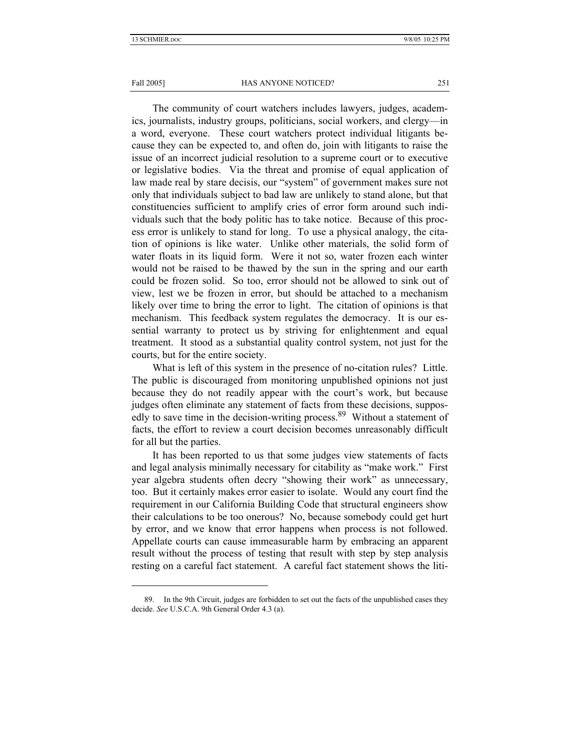### Fall 2005] **HAS ANYONE NOTICED?** 251

The community of court watchers includes lawyers, judges, academics, journalists, industry groups, politicians, social workers, and clergy—in a word, everyone. These court watchers protect individual litigants because they can be expected to, and often do, join with litigants to raise the issue of an incorrect judicial resolution to a supreme court or to executive or legislative bodies. Via the threat and promise of equal application of law made real by stare decisis, our "system" of government makes sure not only that individuals subject to bad law are unlikely to stand alone, but that constituencies sufficient to amplify cries of error form around such individuals such that the body politic has to take notice. Because of this process error is unlikely to stand for long. To use a physical analogy, the citation of opinions is like water. Unlike other materials, the solid form of water floats in its liquid form. Were it not so, water frozen each winter would not be raised to be thawed by the sun in the spring and our earth could be frozen solid. So too, error should not be allowed to sink out of view, lest we be frozen in error, but should be attached to a mechanism likely over time to bring the error to light. The citation of opinions is that mechanism. This feedback system regulates the democracy. It is our essential warranty to protect us by striving for enlightenment and equal treatment. It stood as a substantial quality control system, not just for the courts, but for the entire society.

What is left of this system in the presence of no-citation rules? Little. The public is discouraged from monitoring unpublished opinions not just because they do not readily appear with the court's work, but because judges often eliminate any statement of facts from these decisions, supposedly to save time in the decision-writing process.<sup>89</sup> Without a statement of facts, the effort to review a court decision becomes unreasonably difficult for all but the parties.

It has been reported to us that some judges view statements of facts and legal analysis minimally necessary for citability as "make work." First year algebra students often decry "showing their work" as unnecessary, too. But it certainly makes error easier to isolate. Would any court find the requirement in our California Building Code that structural engineers show their calculations to be too onerous? No, because somebody could get hurt by error, and we know that error happens when process is not followed. Appellate courts can cause immeasurable harm by embracing an apparent result without the process of testing that result with step by step analysis resting on a careful fact statement. A careful fact statement shows the liti-

 <sup>89.</sup> In the 9th Circuit, judges are forbidden to set out the facts of the unpublished cases they decide. *See* U.S.C.A. 9th General Order 4.3 (a).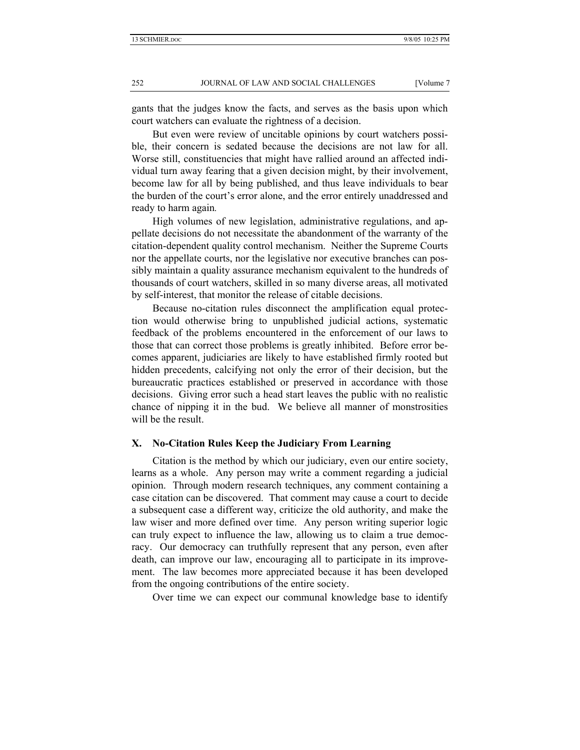gants that the judges know the facts, and serves as the basis upon which court watchers can evaluate the rightness of a decision.

But even were review of uncitable opinions by court watchers possible, their concern is sedated because the decisions are not law for all. Worse still, constituencies that might have rallied around an affected individual turn away fearing that a given decision might, by their involvement, become law for all by being published, and thus leave individuals to bear the burden of the court's error alone, and the error entirely unaddressed and ready to harm again*.*

High volumes of new legislation, administrative regulations, and appellate decisions do not necessitate the abandonment of the warranty of the citation-dependent quality control mechanism. Neither the Supreme Courts nor the appellate courts, nor the legislative nor executive branches can possibly maintain a quality assurance mechanism equivalent to the hundreds of thousands of court watchers, skilled in so many diverse areas, all motivated by self-interest, that monitor the release of citable decisions.

Because no-citation rules disconnect the amplification equal protection would otherwise bring to unpublished judicial actions, systematic feedback of the problems encountered in the enforcement of our laws to those that can correct those problems is greatly inhibited. Before error becomes apparent, judiciaries are likely to have established firmly rooted but hidden precedents, calcifying not only the error of their decision, but the bureaucratic practices established or preserved in accordance with those decisions. Giving error such a head start leaves the public with no realistic chance of nipping it in the bud. We believe all manner of monstrosities will be the result.

# **X. No-Citation Rules Keep the Judiciary From Learning**

Citation is the method by which our judiciary, even our entire society, learns as a whole. Any person may write a comment regarding a judicial opinion. Through modern research techniques, any comment containing a case citation can be discovered. That comment may cause a court to decide a subsequent case a different way, criticize the old authority, and make the law wiser and more defined over time. Any person writing superior logic can truly expect to influence the law, allowing us to claim a true democracy. Our democracy can truthfully represent that any person, even after death, can improve our law, encouraging all to participate in its improvement. The law becomes more appreciated because it has been developed from the ongoing contributions of the entire society.

Over time we can expect our communal knowledge base to identify